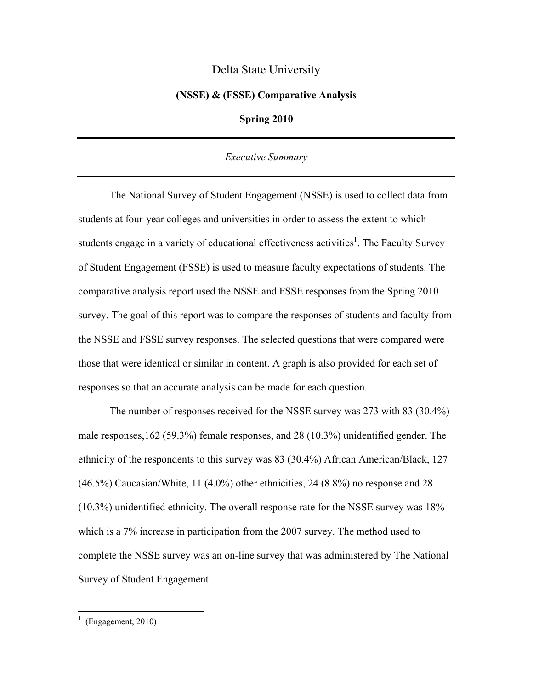# Delta State University

#### **(NSSE) & (FSSE) Comparative Analysis**

### **Spring 2010**

### *Executive Summary*

 The National Survey of Student Engagement (NSSE) is used to collect data from students at four-year colleges and universities in order to assess the extent to which students engage in a variety of educational effectiveness activities<sup>1</sup>. The Faculty Survey of Student Engagement (FSSE) is used to measure faculty expectations of students. The comparative analysis report used the NSSE and FSSE responses from the Spring 2010 survey. The goal of this report was to compare the responses of students and faculty from the NSSE and FSSE survey responses. The selected questions that were compared were those that were identical or similar in content. A graph is also provided for each set of responses so that an accurate analysis can be made for each question.

 The number of responses received for the NSSE survey was 273 with 83 (30.4%) male responses,162 (59.3%) female responses, and 28 (10.3%) unidentified gender. The ethnicity of the respondents to this survey was 83 (30.4%) African American/Black, 127 (46.5%) Caucasian/White, 11 (4.0%) other ethnicities, 24 (8.8%) no response and 28 (10.3%) unidentified ethnicity. The overall response rate for the NSSE survey was 18% which is a 7% increase in participation from the 2007 survey. The method used to complete the NSSE survey was an on-line survey that was administered by The National Survey of Student Engagement.

 $\frac{1}{1}$  (Engagement, 2010)